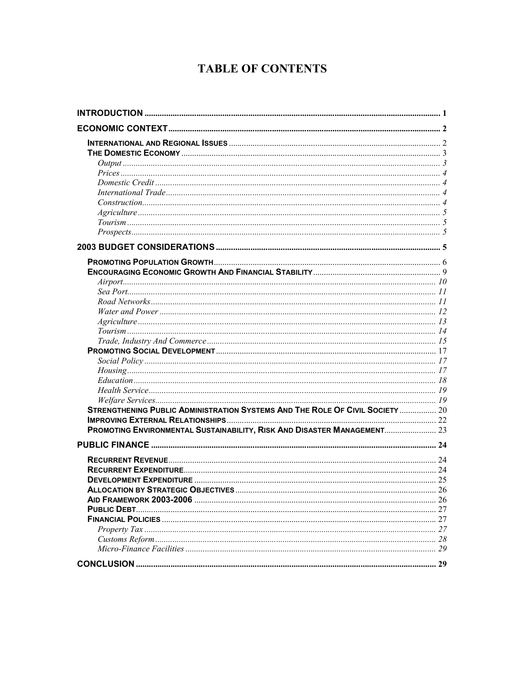# **TABLE OF CONTENTS**

| STRENGTHENING PUBLIC ADMINISTRATION SYSTEMS AND THE ROLE OF CIVIL SOCIETY  20 |  |
|-------------------------------------------------------------------------------|--|
|                                                                               |  |
| PROMOTING ENVIRONMENTAL SUSTAINABILITY, RISK AND DISASTER MANAGEMENT 23       |  |
|                                                                               |  |
|                                                                               |  |
|                                                                               |  |
|                                                                               |  |
|                                                                               |  |
|                                                                               |  |
|                                                                               |  |
|                                                                               |  |
|                                                                               |  |
|                                                                               |  |
|                                                                               |  |
|                                                                               |  |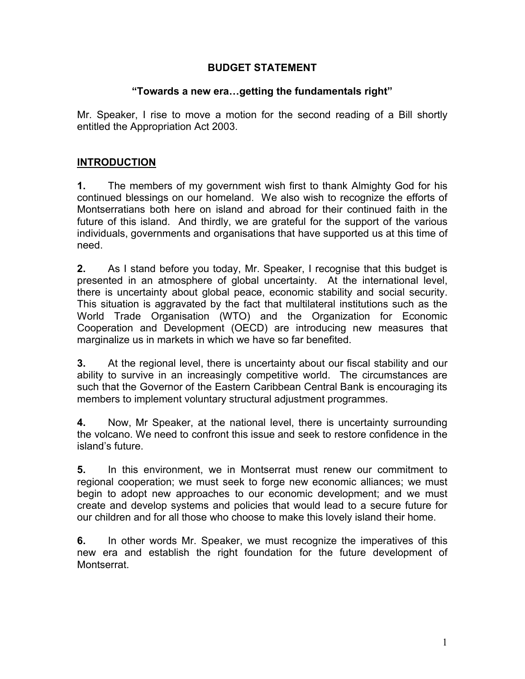#### **BUDGET STATEMENT**

#### **["Tow](#page-29-0)ards a new era…getting the fundamentals right"**

Mr. Speaker, I rise to move a motion for the second reading of a Bill shortly entitled the Appropriation Act 2003.

#### <span id="page-1-0"></span>**INTRODUCTION**

**1.** The members of my government wish first to thank Almighty God for his continued blessings on our homeland. We also wish to recognize the efforts of Montserratians both here on island and abroad for their continued faith in the future of this island. And thirdly, we are grateful for the support of the various individuals, governments and organisations that have supported us at this time of need.

**2.** As I stand before you today, Mr. Speaker, I recognise that this budget is presented in an atmosphere of global uncertainty. At the international level, there is uncertainty about global peace, economic stability and social security. This situation is aggravated by the fact that multilateral institutions such as the World Trade Organisation (WTO) and the Organization for Economic Cooperation and Development (OECD) are introducing new measures that marginalize us in markets in which we have so far benefited.

**3.** At the regional level, there is uncertainty about our fiscal stability and our ability to survive in an increasingly competitive world. The circumstances are such that the Governor of the Eastern Caribbean Central Bank is encouraging its members to implement voluntary structural adjustment programmes.

**4.** Now, Mr Speaker, at the national level, there is uncertainty surrounding the volcano. We need to confront this issue and seek to restore confidence in the island's future.

**5.** In this environment, we in Montserrat must renew our commitment to regional cooperation; we must seek to forge new economic alliances; we must begin to adopt new approaches to our economic development; and we must create and develop systems and policies that would lead to a secure future for our children and for all those who choose to make this lovely island their home.

**6.** In other words Mr. Speaker, we must recognize the imperatives of this new era and establish the right foundation for the future development of Montserrat.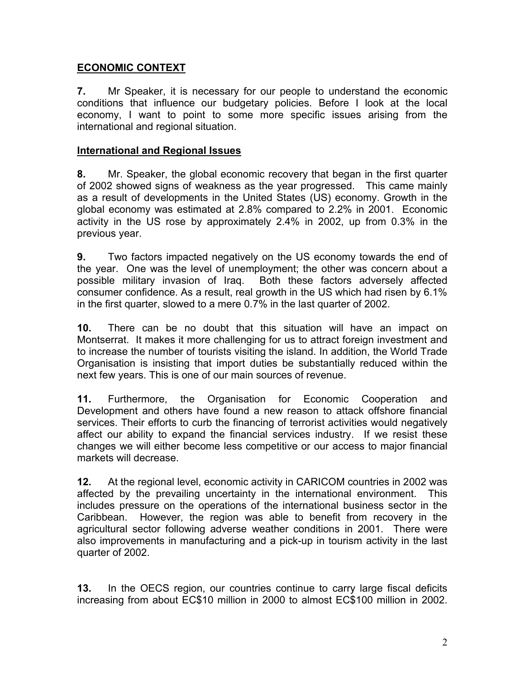#### <span id="page-2-0"></span>**ECONOMIC CONTEXT**

<span id="page-2-1"></span>**7.** Mr Speaker, it is necessary for our people to understand the economic conditions that influence our budgetary policies. Before I look at the local economy, I want to point to some more specific issues arising from the international and regional situation.

#### **International and Regional Issues**

**8.** Mr. Speaker, the global economic recovery that began in the first quarter of 2002 showed signs of weakness as the year progressed. This came mainly as a result of developments in the United States (US) economy. Growth in the global economy was estimated at 2.8% compared to 2.2% in 2001. Economic activity in the US rose by approximately 2.4% in 2002, up from 0.3% in the previous year.

**9.** Two factors impacted negatively on the US economy towards the end of the year. One was the level of unemployment; the other was concern about a possible military invasion of Iraq. Both these factors adversely affected consumer confidence. As a result, real growth in the US which had risen by 6.1% in the first quarter, slowed to a mere 0.7% in the last quarter of 2002.

**10.** There can be no doubt that this situation will have an impact on Montserrat. It makes it more challenging for us to attract foreign investment and to increase the number of tourists visiting the island. In addition, the World Trade Organisation is insisting that import duties be substantially reduced within the next few years. This is one of our main sources of revenue.

**11.** Furthermore, the Organisation for Economic Cooperation and Development and others have found a new reason to attack offshore financial services. Their efforts to curb the financing of terrorist activities would negatively affect our ability to expand the financial services industry. If we resist these changes we will either become less competitive or our access to major financial markets will decrease.

**12.** At the regional level, economic activity in CARICOM countries in 2002 was affected by the prevailing uncertainty in the international environment. This includes pressure on the operations of the international business sector in the Caribbean. However, the region was able to benefit from recovery in the agricultural sector following adverse weather conditions in 2001. There were also improvements in manufacturing and a pick-up in tourism activity in the last quarter of 2002.

**13.** In the OECS region, our countries continue to carry large fiscal deficits increasing from about EC\$10 million in 2000 to almost EC\$100 million in 2002.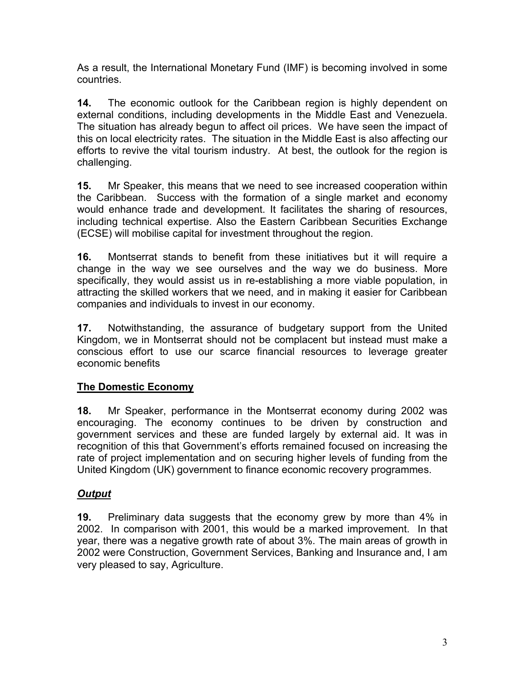As a result, the International Monetary Fund (IMF) is becoming involved in some countries.

**14.** The economic outlook for the Caribbean region is highly dependent on external conditions, including developments in the Middle East and Venezuela. The situation has already begun to affect oil prices. We have seen the impact of this on local electricity rates. The situation in the Middle East is also affecting our efforts to revive the vital tourism industry. At best, the outlook for the region is challenging.

**15.** Mr Speaker, this means that we need to see increased cooperation within the Caribbean. Success with the formation of a single market and economy would enhance trade and development. It facilitates the sharing of resources, including technical expertise. Also the Eastern Caribbean Securities Exchange (ECSE) will mobilise capital for investment throughout the region.

**16.** Montserrat stands to benefit from these initiatives but it will require a change in the way we see ourselves and the way we do business. More specifically, they would assist us in re-establishing a more viable population, in attracting the skilled workers that we need, and in making it easier for Caribbean companies and individuals to invest in our economy.

**17.** Notwithstanding, the assurance of budgetary support from the United Kingdom, we in Montserrat should not be complacent but instead must make a conscious effort to use our scarce financial resources to leverage greater economic benefits

### <span id="page-3-0"></span>**The Domestic Economy**

**18.** Mr Speaker, performance in the Montserrat economy during 2002 was encouraging. The economy continues to be driven by construction and government services and these are funded largely by external aid. It was in recognition of this that Government's efforts remained focused on increasing the rate of project implementation and on securing higher levels of funding from the United Kingdom (UK) government to finance economic recovery programmes.

# <span id="page-3-1"></span>*Output*

**19.** Preliminary data suggests that the economy grew by more than 4% in 2002. In comparison with 2001, this would be a marked improvement. In that year, there was a negative growth rate of about 3%. The main areas of growth in 2002 were Construction, Government Services, Banking and Insurance and, I am very pleased to say, Agriculture.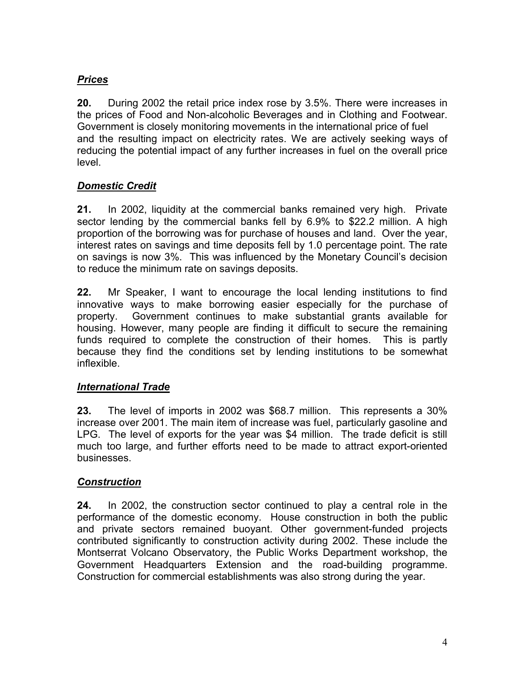## <span id="page-4-0"></span>*Prices*

**20.** During 2002 the retail price index rose by 3.5%. There were increases in the prices of Food and Non-alcoholic Beverages and in Clothing and Footwear. Government is closely monitoring movements in the international price of fuel and the resulting impact on electricity rates. We are actively seeking ways of reducing the potential impact of any further increases in fuel on the overall price level.

### <span id="page-4-1"></span>*Domestic Credit*

**21.** In 2002, liquidity at the commercial banks remained very high. Private sector lending by the commercial banks fell by 6.9% to \$22.2 million. A high proportion of the borrowing was for purchase of houses and land. Over the year, interest rates on savings and time deposits fell by 1.0 percentage point. The rate on savings is now 3%. This was influenced by the Monetary Council's decision to reduce the minimum rate on savings deposits.

**22.** Mr Speaker, I want to encourage the local lending institutions to find innovative ways to make borrowing easier especially for the purchase of property. Government continues to make substantial grants available for housing. However, many people are finding it difficult to secure the remaining funds required to complete the construction of their homes. This is partly because they find the conditions set by lending institutions to be somewhat inflexible.

### *International Trade*

**23.** The level of imports in 2002 was \$68.7 million. This represents a 30% increase over 2001. The main item of increase was fuel, particularly gasoline and LPG. The level of exports for the year was \$4 million. The trade deficit is still much too large, and further efforts need to be made to attract export-oriented businesses.

### *Construction*

**24.** In 2002, the construction sector continued to play a central role in the performance of the domestic economy. House construction in both the public and private sectors remained buoyant. Other government-funded projects contributed significantly to construction activity during 2002. These include the Montserrat Volcano Observatory, the Public Works Department workshop, the Government Headquarters Extension and the road-building programme. Construction for commercial establishments was also strong during the year.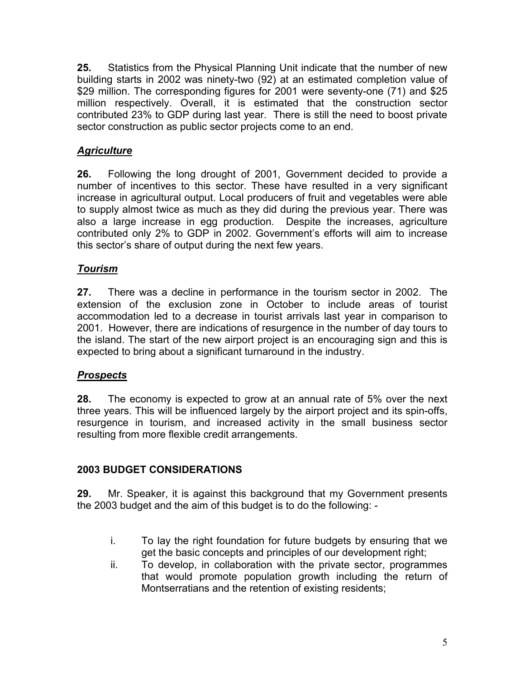**25.** Statistics from the Physical Planning Unit indicate that the number of new building starts in 2002 was ninety-two (92) at an estimated completion value of \$29 million. The corresponding figures for 2001 were seventy-one (71) and \$25 million respectively. Overall, it is estimated that the construction sector contributed 23% to GDP during last year. There is still the need to boost private sector construction as public sector projects come to an end.

# *Agriculture*

**26.** Following the long drought of 2001, Government decided to provide a number of incentives to this sector. These have resulted in a very significant increase in agricultural output. Local producers of fruit and vegetables were able to supply almost twice as much as they did during the previous year. There was also a large increase in egg production. Despite the increases, agriculture contributed only 2% to GDP in 2002. Government's efforts will aim to increase this sector's share of output during the next few years.

### *Tourism*

**27.** There was a decline in performance in the tourism sector in 2002. The extension of the exclusion zone in October to include areas of tourist accommodation led to a decrease in tourist arrivals last year in comparison to 2001. However, there are indications of resurgence in the number of day tours to the island. The start of the new airport project is an encouraging sign and this is expected to bring about a significant turnaround in the industry.

### *Prospects*

**28.** The economy is expected to grow at an annual rate of 5% over the next three years. This will be influenced largely by the airport project and its spin-offs, resurgence in tourism, and increased activity in the small business sector resulting from more flexible credit arrangements.

# **2003 BUDGET CONSIDERATIONS**

**29.** Mr. Speaker, it is against this background that my Government presents the 2003 budget and the aim of this budget is to do the following: -

- i. To lay the right foundation for future budgets by ensuring that we get the basic concepts and principles of our development right;
- ii. To develop, in collaboration with the private sector, programmes that would promote population growth including the return of Montserratians and the retention of existing residents;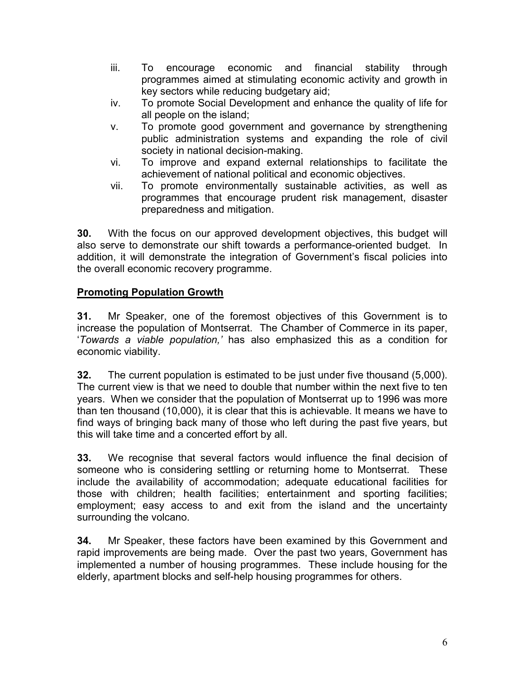- iii. To encourage economic and financial stability through programmes aimed at stimulating economic activity and growth in key sectors while reducing budgetary aid;
- iv. To promote Social Development and enhance the quality of life for all people on the island;
- v. To promote good government and governance by strengthening public administration systems and expanding the role of civil society in national decision-making.
- vi. To improve and expand external relationships to facilitate the achievement of national political and economic objectives.
- vii. To promote environmentally sustainable activities, as well as programmes that encourage prudent risk management, disaster preparedness and mitigation.

**30.** With the focus on our approved development objectives, this budget will also serve to demonstrate our shift towards a performance-oriented budget. In addition, it will demonstrate the integration of Government's fiscal policies into the overall economic recovery programme.

### **Promoting Population Growth**

**31.** Mr Speaker, one of the foremost objectives of this Government is to increase the population of Montserrat. The Chamber of Commerce in its paper, '*Towards a viable population,'* has also emphasized this as a condition for economic viability.

**32.** The current population is estimated to be just under five thousand (5,000). The current view is that we need to double that number within the next five to ten years. When we consider that the population of Montserrat up to 1996 was more than ten thousand (10,000), it is clear that this is achievable. It means we have to find ways of bringing back many of those who left during the past five years, but this will take time and a concerted effort by all.

**33.** We recognise that several factors would influence the final decision of someone who is considering settling or returning home to Montserrat. These include the availability of accommodation; adequate educational facilities for those with children; health facilities; entertainment and sporting facilities; employment; easy access to and exit from the island and the uncertainty surrounding the volcano.

**34.** Mr Speaker, these factors have been examined by this Government and rapid improvements are being made. Over the past two years, Government has implemented a number of housing programmes. These include housing for the elderly, apartment blocks and self-help housing programmes for others.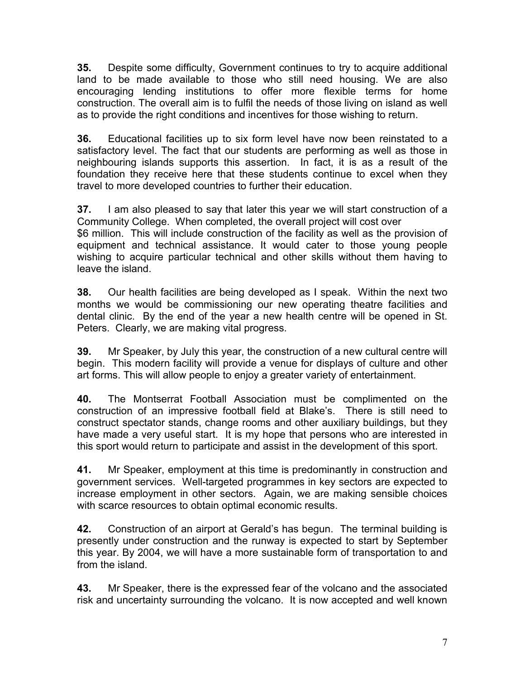**35.** Despite some difficulty, Government continues to try to acquire additional land to be made available to those who still need housing. We are also encouraging lending institutions to offer more flexible terms for home construction. The overall aim is to fulfil the needs of those living on island as well as to provide the right conditions and incentives for those wishing to return.

**36.** Educational facilities up to six form level have now been reinstated to a satisfactory level. The fact that our students are performing as well as those in neighbouring islands supports this assertion. In fact, it is as a result of the foundation they receive here that these students continue to excel when they travel to more developed countries to further their education.

**37.** I am also pleased to say that later this year we will start construction of a Community College. When completed, the overall project will cost over \$6 million. This will include construction of the facility as well as the provision of equipment and technical assistance. It would cater to those young people wishing to acquire particular technical and other skills without them having to leave the island.

**38.** Our health facilities are being developed as I speak. Within the next two months we would be commissioning our new operating theatre facilities and dental clinic. By the end of the year a new health centre will be opened in St. Peters. Clearly, we are making vital progress.

**39.** Mr Speaker, by July this year, the construction of a new cultural centre will begin. This modern facility will provide a venue for displays of culture and other art forms. This will allow people to enjoy a greater variety of entertainment.

**40.** The Montserrat Football Association must be complimented on the construction of an impressive football field at Blake's. There is still need to construct spectator stands, change rooms and other auxiliary buildings, but they have made a very useful start. It is my hope that persons who are interested in this sport would return to participate and assist in the development of this sport.

**41.** Mr Speaker, employment at this time is predominantly in construction and government services. Well-targeted programmes in key sectors are expected to increase employment in other sectors. Again, we are making sensible choices with scarce resources to obtain optimal economic results.

**42.** Construction of an airport at Gerald's has begun. The terminal building is presently under construction and the runway is expected to start by September this year. By 2004, we will have a more sustainable form of transportation to and from the island.

**43.** Mr Speaker, there is the expressed fear of the volcano and the associated risk and uncertainty surrounding the volcano. It is now accepted and well known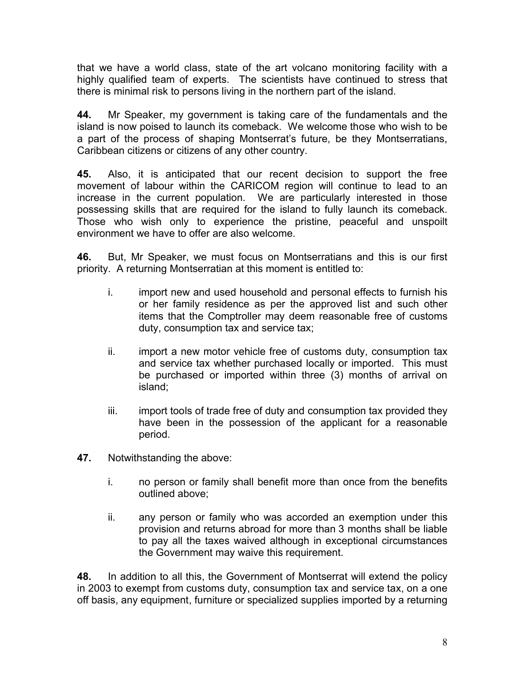that we have a world class, state of the art volcano monitoring facility with a highly qualified team of experts. The scientists have continued to stress that there is minimal risk to persons living in the northern part of the island.

**44.** Mr Speaker, my government is taking care of the fundamentals and the island is now poised to launch its comeback. We welcome those who wish to be a part of the process of shaping Montserrat's future, be they Montserratians, Caribbean citizens or citizens of any other country.

**45.** Also, it is anticipated that our recent decision to support the free movement of labour within the CARICOM region will continue to lead to an increase in the current population. We are particularly interested in those possessing skills that are required for the island to fully launch its comeback. Those who wish only to experience the pristine, peaceful and unspoilt environment we have to offer are also welcome.

**46.** But, Mr Speaker, we must focus on Montserratians and this is our first priority. A returning Montserratian at this moment is entitled to:

- i. import new and used household and personal effects to furnish his or her family residence as per the approved list and such other items that the Comptroller may deem reasonable free of customs duty, consumption tax and service tax;
- ii. import a new motor vehicle free of customs duty, consumption tax and service tax whether purchased locally or imported. This must be purchased or imported within three (3) months of arrival on island;
- iii. import tools of trade free of duty and consumption tax provided they have been in the possession of the applicant for a reasonable period.
- **47.** Notwithstanding the above:
	- i. no person or family shall benefit more than once from the benefits outlined above;
	- ii. any person or family who was accorded an exemption under this provision and returns abroad for more than 3 months shall be liable to pay all the taxes waived although in exceptional circumstances the Government may waive this requirement.

**48.** In addition to all this, the Government of Montserrat will extend the policy in 2003 to exempt from customs duty, consumption tax and service tax, on a one off basis, any equipment, furniture or specialized supplies imported by a returning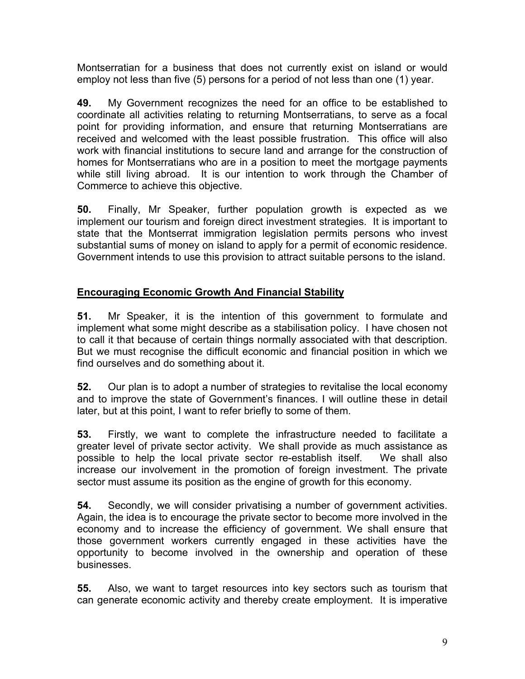Montserratian for a business that does not currently exist on island or would employ not less than five (5) persons for a period of not less than one (1) year.

**49.** My Government recognizes the need for an office to be established to coordinate all activities relating to returning Montserratians, to serve as a focal point for providing information, and ensure that returning Montserratians are received and welcomed with the least possible frustration. This office will also work with financial institutions to secure land and arrange for the construction of homes for Montserratians who are in a position to meet the mortgage payments while still living abroad. It is our intention to work through the Chamber of Commerce to achieve this objective.

**50.** Finally, Mr Speaker, further population growth is expected as we implement our tourism and foreign direct investment strategies. It is important to state that the Montserrat immigration legislation permits persons who invest substantial sums of money on island to apply for a permit of economic residence. Government intends to use this provision to attract suitable persons to the island.

# **Encouraging Economic Growth And Financial Stability**

**51.** Mr Speaker, it is the intention of this government to formulate and implement what some might describe as a stabilisation policy. I have chosen not to call it that because of certain things normally associated with that description. But we must recognise the difficult economic and financial position in which we find ourselves and do something about it.

**52.** Our plan is to adopt a number of strategies to revitalise the local economy and to improve the state of Government's finances. I will outline these in detail later, but at this point, I want to refer briefly to some of them.

**53.** Firstly, we want to complete the infrastructure needed to facilitate a greater level of private sector activity. We shall provide as much assistance as possible to help the local private sector re-establish itself. We shall also increase our involvement in the promotion of foreign investment. The private sector must assume its position as the engine of growth for this economy.

**54.** Secondly, we will consider privatising a number of government activities. Again, the idea is to encourage the private sector to become more involved in the economy and to increase the efficiency of government. We shall ensure that those government workers currently engaged in these activities have the opportunity to become involved in the ownership and operation of these businesses.

**55.** Also, we want to target resources into key sectors such as tourism that can generate economic activity and thereby create employment. It is imperative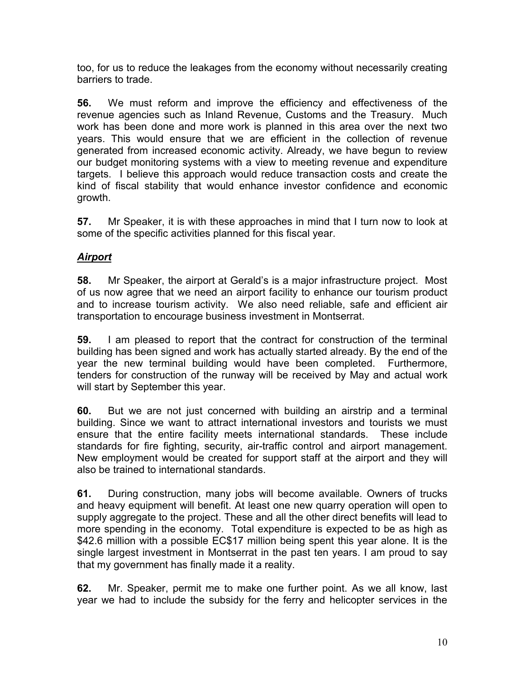too, for us to reduce the leakages from the economy without necessarily creating barriers to trade.

**56.** We must reform and improve the efficiency and effectiveness of the revenue agencies such as Inland Revenue, Customs and the Treasury. Much work has been done and more work is planned in this area over the next two years. This would ensure that we are efficient in the collection of revenue generated from increased economic activity. Already, we have begun to review our budget monitoring systems with a view to meeting revenue and expenditure targets. I believe this approach would reduce transaction costs and create the kind of fiscal stability that would enhance investor confidence and economic growth.

**57.** Mr Speaker, it is with these approaches in mind that I turn now to look at some of the specific activities planned for this fiscal year.

# *Airport*

**58.** Mr Speaker, the airport at Gerald's is a major infrastructure project. Most of us now agree that we need an airport facility to enhance our tourism product and to increase tourism activity. We also need reliable, safe and efficient air transportation to encourage business investment in Montserrat.

**59.** I am pleased to report that the contract for construction of the terminal building has been signed and work has actually started already. By the end of the year the new terminal building would have been completed. Furthermore, tenders for construction of the runway will be received by May and actual work will start by September this year.

**60.** But we are not just concerned with building an airstrip and a terminal building. Since we want to attract international investors and tourists we must ensure that the entire facility meets international standards. These include standards for fire fighting, security, air-traffic control and airport management. New employment would be created for support staff at the airport and they will also be trained to international standards.

**61.** During construction, many jobs will become available. Owners of trucks and heavy equipment will benefit. At least one new quarry operation will open to supply aggregate to the project. These and all the other direct benefits will lead to more spending in the economy. Total expenditure is expected to be as high as \$42.6 million with a possible EC\$17 million being spent this year alone. It is the single largest investment in Montserrat in the past ten years. I am proud to say that my government has finally made it a reality.

**62.** Mr. Speaker, permit me to make one further point. As we all know, last year we had to include the subsidy for the ferry and helicopter services in the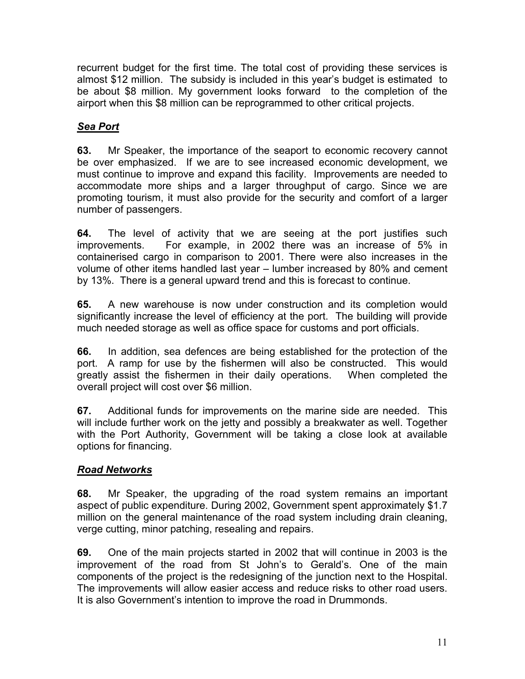recurrent budget for the first time. The total cost of providing these services is almost \$12 million. The subsidy is included in this year's budget is estimated to be about \$8 million. My government looks forward to the completion of the airport when this \$8 million can be reprogrammed to other critical projects.

# *Sea Port*

**63.** Mr Speaker, the importance of the seaport to economic recovery cannot be over emphasized. If we are to see increased economic development, we must continue to improve and expand this facility. Improvements are needed to accommodate more ships and a larger throughput of cargo. Since we are promoting tourism, it must also provide for the security and comfort of a larger number of passengers.

**64.** The level of activity that we are seeing at the port justifies such improvements. For example, in 2002 there was an increase of 5% in containerised cargo in comparison to 2001. There were also increases in the volume of other items handled last year – lumber increased by 80% and cement by 13%. There is a general upward trend and this is forecast to continue.

**65.** A new warehouse is now under construction and its completion would significantly increase the level of efficiency at the port. The building will provide much needed storage as well as office space for customs and port officials.

**66.** In addition, sea defences are being established for the protection of the port. A ramp for use by the fishermen will also be constructed. This would greatly assist the fishermen in their daily operations. When completed the overall project will cost over \$6 million.

**67.** Additional funds for improvements on the marine side are needed. This will include further work on the jetty and possibly a breakwater as well. Together with the Port Authority, Government will be taking a close look at available options for financing.

### *Road Networks*

**68.** Mr Speaker, the upgrading of the road system remains an important aspect of public expenditure. During 2002, Government spent approximately \$1.7 million on the general maintenance of the road system including drain cleaning, verge cutting, minor patching, resealing and repairs.

**69.** One of the main projects started in 2002 that will continue in 2003 is the improvement of the road from St John's to Gerald's. One of the main components of the project is the redesigning of the junction next to the Hospital. The improvements will allow easier access and reduce risks to other road users. It is also Government's intention to improve the road in Drummonds.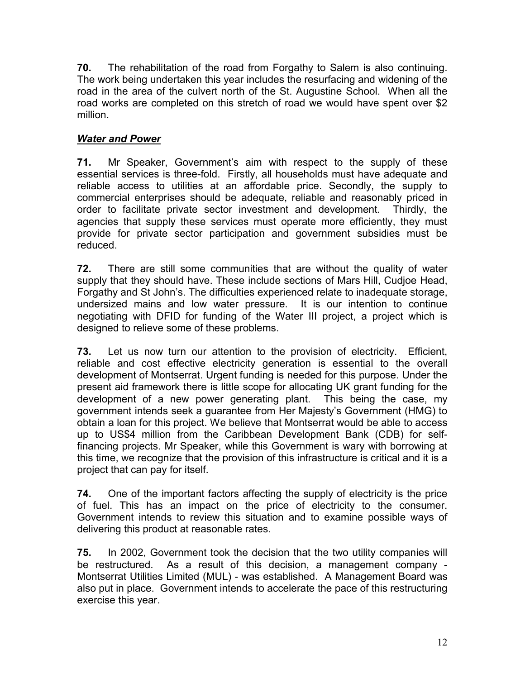**70.** The rehabilitation of the road from Forgathy to Salem is also continuing. The work being undertaken this year includes the resurfacing and widening of the road in the area of the culvert north of the St. Augustine School. When all the road works are completed on this stretch of road we would have spent over \$2 million.

#### *Water and Power*

**71.** Mr Speaker, Government's aim with respect to the supply of these essential services is three-fold. Firstly, all households must have adequate and reliable access to utilities at an affordable price. Secondly, the supply to commercial enterprises should be adequate, reliable and reasonably priced in order to facilitate private sector investment and development. Thirdly, the agencies that supply these services must operate more efficiently, they must provide for private sector participation and government subsidies must be reduced.

**72.** There are still some communities that are without the quality of water supply that they should have. These include sections of Mars Hill, Cudjoe Head, Forgathy and St John's. The difficulties experienced relate to inadequate storage, undersized mains and low water pressure. It is our intention to continue negotiating with DFID for funding of the Water III project, a project which is designed to relieve some of these problems.

**73.** Let us now turn our attention to the provision of electricity. Efficient, reliable and cost effective electricity generation is essential to the overall development of Montserrat. Urgent funding is needed for this purpose. Under the present aid framework there is little scope for allocating UK grant funding for the development of a new power generating plant. This being the case, my government intends seek a guarantee from Her Majesty's Government (HMG) to obtain a loan for this project. We believe that Montserrat would be able to access up to US\$4 million from the Caribbean Development Bank (CDB) for selffinancing projects. Mr Speaker, while this Government is wary with borrowing at this time, we recognize that the provision of this infrastructure is critical and it is a project that can pay for itself.

**74.** One of the important factors affecting the supply of electricity is the price of fuel. This has an impact on the price of electricity to the consumer. Government intends to review this situation and to examine possible ways of delivering this product at reasonable rates.

**75.** In 2002, Government took the decision that the two utility companies will be restructured. As a result of this decision, a management company - Montserrat Utilities Limited (MUL) - was established. A Management Board was also put in place. Government intends to accelerate the pace of this restructuring exercise this year.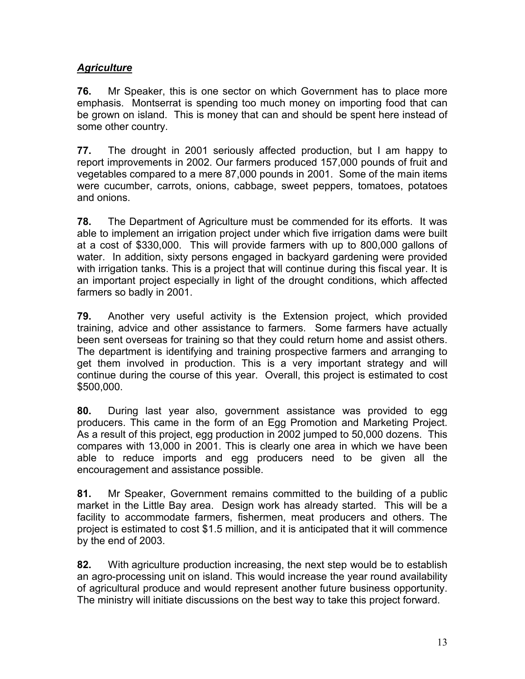### *Agriculture*

**76.** Mr Speaker, this is one sector on which Government has to place more emphasis. Montserrat is spending too much money on importing food that can be grown on island. This is money that can and should be spent here instead of some other country.

**77.** The drought in 2001 seriously affected production, but I am happy to report improvements in 2002. Our farmers produced 157,000 pounds of fruit and vegetables compared to a mere 87,000 pounds in 2001. Some of the main items were cucumber, carrots, onions, cabbage, sweet peppers, tomatoes, potatoes and onions.

**78.** The Department of Agriculture must be commended for its efforts. It was able to implement an irrigation project under which five irrigation dams were built at a cost of \$330,000. This will provide farmers with up to 800,000 gallons of water. In addition, sixty persons engaged in backyard gardening were provided with irrigation tanks. This is a project that will continue during this fiscal year. It is an important project especially in light of the drought conditions, which affected farmers so badly in 2001.

**79.** Another very useful activity is the Extension project, which provided training, advice and other assistance to farmers. Some farmers have actually been sent overseas for training so that they could return home and assist others. The department is identifying and training prospective farmers and arranging to get them involved in production. This is a very important strategy and will continue during the course of this year. Overall, this project is estimated to cost \$500,000.

**80.** During last year also, government assistance was provided to egg producers. This came in the form of an Egg Promotion and Marketing Project. As a result of this project, egg production in 2002 jumped to 50,000 dozens. This compares with 13,000 in 2001. This is clearly one area in which we have been able to reduce imports and egg producers need to be given all the encouragement and assistance possible.

**81.** Mr Speaker, Government remains committed to the building of a public market in the Little Bay area. Design work has already started. This will be a facility to accommodate farmers, fishermen, meat producers and others. The project is estimated to cost \$1.5 million, and it is anticipated that it will commence by the end of 2003.

**82.** With agriculture production increasing, the next step would be to establish an agro-processing unit on island. This would increase the year round availability of agricultural produce and would represent another future business opportunity. The ministry will initiate discussions on the best way to take this project forward.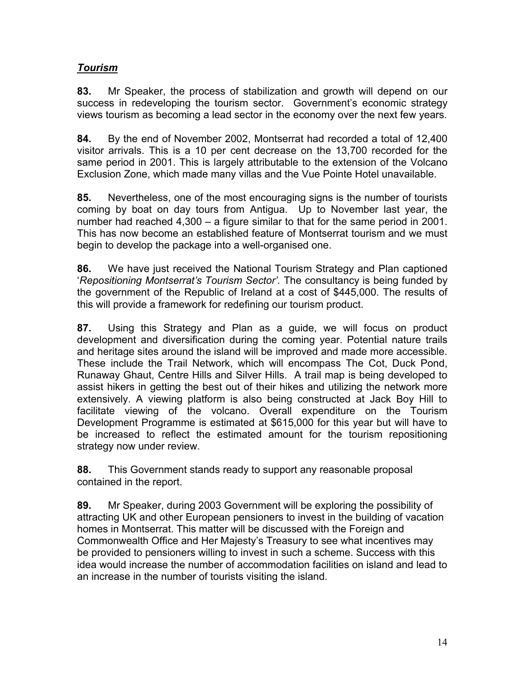#### *Tourism*

**83.** Mr Speaker, the process of stabilization and growth will depend on our success in redeveloping the tourism sector. Government's economic strategy views tourism as becoming a lead sector in the economy over the next few years.

**84.** By the end of November 2002, Montserrat had recorded a total of 12,400 visitor arrivals. This is a 10 per cent decrease on the 13,700 recorded for the same period in 2001. This is largely attributable to the extension of the Volcano Exclusion Zone, which made many villas and the Vue Pointe Hotel unavailable.

**85.** Nevertheless, one of the most encouraging signs is the number of tourists coming by boat on day tours from Antigua. Up to November last year, the number had reached 4,300 – a figure similar to that for the same period in 2001. This has now become an established feature of Montserrat tourism and we must begin to develop the package into a well-organised one.

**86.** We have just received the National Tourism Strategy and Plan captioned '*Repositioning Montserrat's Tourism Sector'.* The consultancy is being funded by the government of the Republic of Ireland at a cost of \$445,000. The results of this will provide a framework for redefining our tourism product.

**87.** Using this Strategy and Plan as a guide, we will focus on product development and diversification during the coming year. Potential nature trails and heritage sites around the island will be improved and made more accessible. These include the Trail Network, which will encompass The Cot, Duck Pond, Runaway Ghaut, Centre Hills and Silver Hills. A trail map is being developed to assist hikers in getting the best out of their hikes and utilizing the network more extensively. A viewing platform is also being constructed at Jack Boy Hill to facilitate viewing of the volcano. Overall expenditure on the Tourism Development Programme is estimated at \$615,000 for this year but will have to be increased to reflect the estimated amount for the tourism repositioning strategy now under review.

**88.** This Government stands ready to support any reasonable proposal contained in the report.

**89.** Mr Speaker, during 2003 Government will be exploring the possibility of attracting UK and other European pensioners to invest in the building of vacation homes in Montserrat. This matter will be discussed with the Foreign and Commonwealth Office and Her Majesty's Treasury to see what incentives may be provided to pensioners willing to invest in such a scheme. Success with this idea would increase the number of accommodation facilities on island and lead to an increase in the number of tourists visiting the island.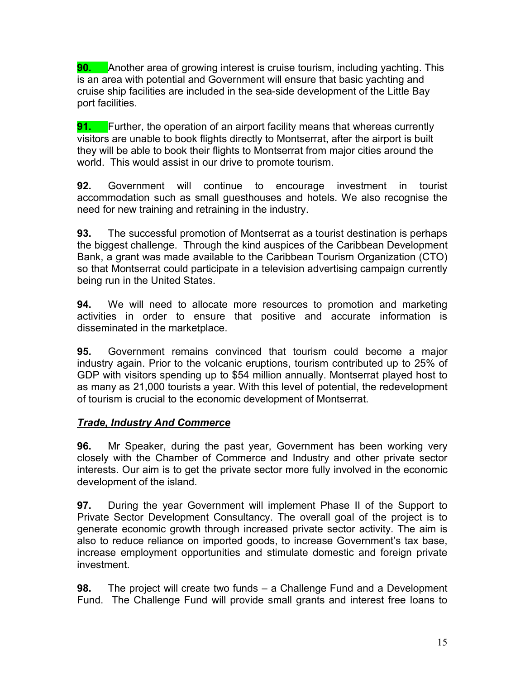**90.** Another area of growing interest is cruise tourism, including yachting. This is an area with potential and Government will ensure that basic yachting and cruise ship facilities are included in the sea-side development of the Little Bay port facilities.

**91.** Further, the operation of an airport facility means that whereas currently visitors are unable to book flights directly to Montserrat, after the airport is built they will be able to book their flights to Montserrat from major cities around the world. This would assist in our drive to promote tourism.

**92.** Government will continue to encourage investment in tourist accommodation such as small guesthouses and hotels. We also recognise the need for new training and retraining in the industry.

**93.** The successful promotion of Montserrat as a tourist destination is perhaps the biggest challenge. Through the kind auspices of the Caribbean Development Bank, a grant was made available to the Caribbean Tourism Organization (CTO) so that Montserrat could participate in a television advertising campaign currently being run in the United States.

**94.** We will need to allocate more resources to promotion and marketing activities in order to ensure that positive and accurate information is disseminated in the marketplace.

**95.** Government remains convinced that tourism could become a major industry again. Prior to the volcanic eruptions, tourism contributed up to 25% of GDP with visitors spending up to \$54 million annually. Montserrat played host to as many as 21,000 tourists a year. With this level of potential, the redevelopment of tourism is crucial to the economic development of Montserrat.

### *Trade, Industry And Commerce*

**96.** Mr Speaker, during the past year, Government has been working very closely with the Chamber of Commerce and Industry and other private sector interests. Our aim is to get the private sector more fully involved in the economic development of the island.

**97.** During the year Government will implement Phase II of the Support to Private Sector Development Consultancy. The overall goal of the project is to generate economic growth through increased private sector activity. The aim is also to reduce reliance on imported goods, to increase Government's tax base, increase employment opportunities and stimulate domestic and foreign private investment.

**98.** The project will create two funds – a Challenge Fund and a Development Fund. The Challenge Fund will provide small grants and interest free loans to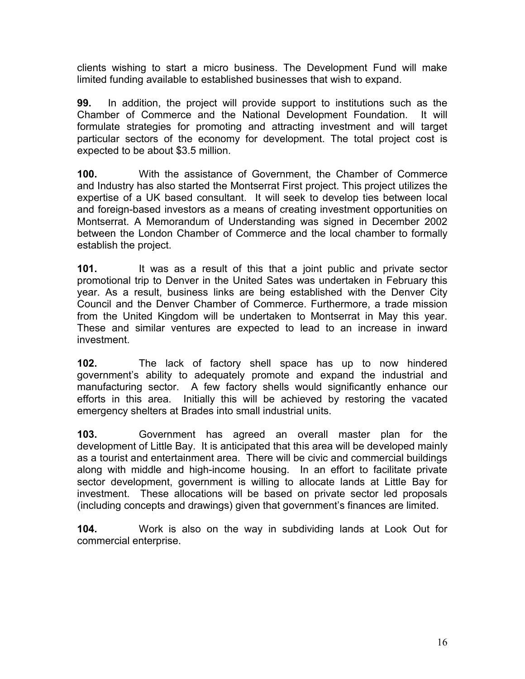clients wishing to start a micro business. The Development Fund will make limited funding available to established businesses that wish to expand.

**99.** In addition, the project will provide support to institutions such as the Chamber of Commerce and the National Development Foundation. It will formulate strategies for promoting and attracting investment and will target particular sectors of the economy for development. The total project cost is expected to be about \$3.5 million.

**100.** With the assistance of Government, the Chamber of Commerce and Industry has also started the Montserrat First project. This project utilizes the expertise of a UK based consultant. It will seek to develop ties between local and foreign-based investors as a means of creating investment opportunities on Montserrat. A Memorandum of Understanding was signed in December 2002 between the London Chamber of Commerce and the local chamber to formally establish the project.

**101.** It was as a result of this that a joint public and private sector promotional trip to Denver in the United Sates was undertaken in February this year. As a result, business links are being established with the Denver City Council and the Denver Chamber of Commerce. Furthermore, a trade mission from the United Kingdom will be undertaken to Montserrat in May this year. These and similar ventures are expected to lead to an increase in inward investment.

**102.** The lack of factory shell space has up to now hindered government's ability to adequately promote and expand the industrial and manufacturing sector. A few factory shells would significantly enhance our efforts in this area. Initially this will be achieved by restoring the vacated emergency shelters at Brades into small industrial units.

**103.** Government has agreed an overall master plan for the development of Little Bay. It is anticipated that this area will be developed mainly as a tourist and entertainment area. There will be civic and commercial buildings along with middle and high-income housing. In an effort to facilitate private sector development, government is willing to allocate lands at Little Bay for investment. These allocations will be based on private sector led proposals (including concepts and drawings) given that government's finances are limited.

**104.** Work is also on the way in subdividing lands at Look Out for commercial enterprise.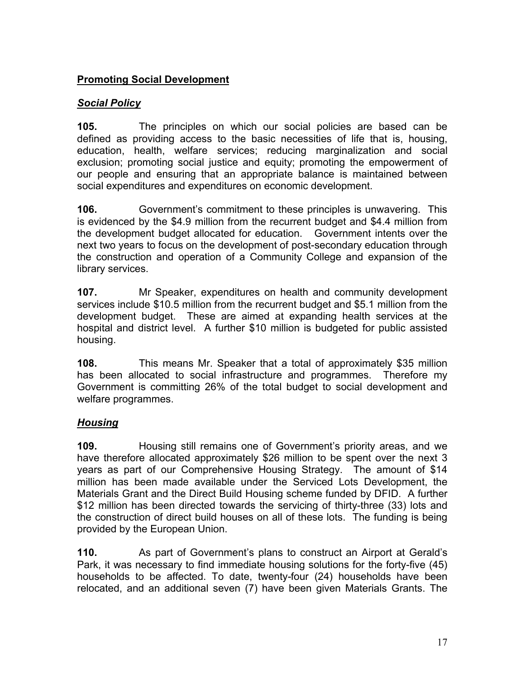#### **Promoting Social Development**

#### *Social Policy*

**105.** The principles on which our social policies are based can be defined as providing access to the basic necessities of life that is, housing, education, health, welfare services; reducing marginalization and social exclusion; promoting social justice and equity; promoting the empowerment of our people and ensuring that an appropriate balance is maintained between social expenditures and expenditures on economic development.

**106.** Government's commitment to these principles is unwavering. This is evidenced by the \$4.9 million from the recurrent budget and \$4.4 million from the development budget allocated for education. Government intents over the next two years to focus on the development of post-secondary education through the construction and operation of a Community College and expansion of the library services.

**107.** Mr Speaker, expenditures on health and community development services include \$10.5 million from the recurrent budget and \$5.1 million from the development budget. These are aimed at expanding health services at the hospital and district level. A further \$10 million is budgeted for public assisted housing.

**108.** This means Mr. Speaker that a total of approximately \$35 million has been allocated to social infrastructure and programmes. Therefore my Government is committing 26% of the total budget to social development and welfare programmes.

### *Housing*

**109.** Housing still remains one of Government's priority areas, and we have therefore allocated approximately \$26 million to be spent over the next 3 years as part of our Comprehensive Housing Strategy. The amount of \$14 million has been made available under the Serviced Lots Development, the Materials Grant and the Direct Build Housing scheme funded by DFID. A further \$12 million has been directed towards the servicing of thirty-three (33) lots and the construction of direct build houses on all of these lots. The funding is being provided by the European Union.

**110.** As part of Government's plans to construct an Airport at Gerald's Park, it was necessary to find immediate housing solutions for the forty-five (45) households to be affected. To date, twenty-four (24) households have been relocated, and an additional seven (7) have been given Materials Grants. The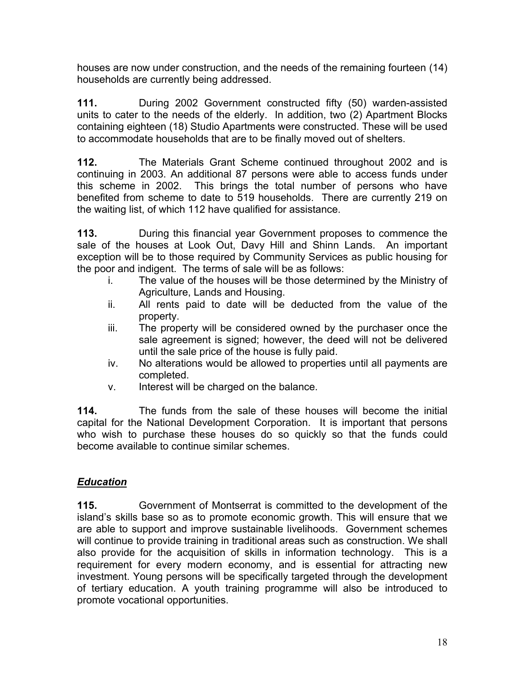houses are now under construction, and the needs of the remaining fourteen (14) households are currently being addressed.

**111.** During 2002 Government constructed fifty (50) warden-assisted units to cater to the needs of the elderly. In addition, two (2) Apartment Blocks containing eighteen (18) Studio Apartments were constructed. These will be used to accommodate households that are to be finally moved out of shelters.

**112.** The Materials Grant Scheme continued throughout 2002 and is continuing in 2003. An additional 87 persons were able to access funds under this scheme in 2002. This brings the total number of persons who have benefited from scheme to date to 519 households. There are currently 219 on the waiting list, of which 112 have qualified for assistance.

**113.** During this financial year Government proposes to commence the sale of the houses at Look Out, Davy Hill and Shinn Lands. An important exception will be to those required by Community Services as public housing for the poor and indigent. The terms of sale will be as follows:

- i. The value of the houses will be those determined by the Ministry of Agriculture, Lands and Housing.
- ii. All rents paid to date will be deducted from the value of the property.
- iii. The property will be considered owned by the purchaser once the sale agreement is signed; however, the deed will not be delivered until the sale price of the house is fully paid.
- iv. No alterations would be allowed to properties until all payments are completed.
- v. Interest will be charged on the balance.

**114.** The funds from the sale of these houses will become the initial capital for the National Development Corporation. It is important that persons who wish to purchase these houses do so quickly so that the funds could become available to continue similar schemes.

# *Education*

**115.** Government of Montserrat is committed to the development of the island's skills base so as to promote economic growth. This will ensure that we are able to support and improve sustainable livelihoods. Government schemes will continue to provide training in traditional areas such as construction. We shall also provide for the acquisition of skills in information technology. This is a requirement for every modern economy, and is essential for attracting new investment. Young persons will be specifically targeted through the development of tertiary education. A youth training programme will also be introduced to promote vocational opportunities.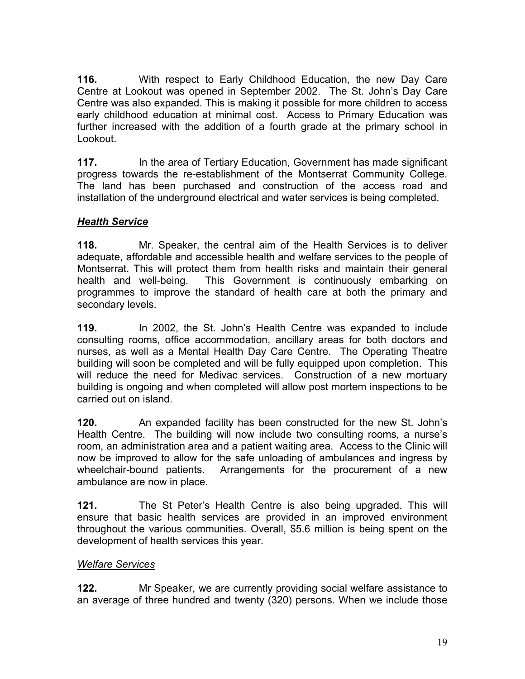**116.** With respect to Early Childhood Education, the new Day Care Centre at Lookout was opened in September 2002. The St. John's Day Care Centre was also expanded. This is making it possible for more children to access early childhood education at minimal cost. Access to Primary Education was further increased with the addition of a fourth grade at the primary school in Lookout.

**117.** In the area of Tertiary Education, Government has made significant progress towards the re-establishment of the Montserrat Community College. The land has been purchased and construction of the access road and installation of the underground electrical and water services is being completed.

### *Health Service*

**118.** Mr. Speaker, the central aim of the Health Services is to deliver adequate, affordable and accessible health and welfare services to the people of Montserrat. This will protect them from health risks and maintain their general health and well-being. This Government is continuously embarking on programmes to improve the standard of health care at both the primary and secondary levels.

**119.** In 2002, the St. John's Health Centre was expanded to include consulting rooms, office accommodation, ancillary areas for both doctors and nurses, as well as a Mental Health Day Care Centre. The Operating Theatre building will soon be completed and will be fully equipped upon completion. This will reduce the need for Medivac services. Construction of a new mortuary building is ongoing and when completed will allow post mortem inspections to be carried out on island.

**120.** An expanded facility has been constructed for the new St. John's Health Centre. The building will now include two consulting rooms, a nurse's room, an administration area and a patient waiting area. Access to the Clinic will now be improved to allow for the safe unloading of ambulances and ingress by wheelchair-bound patients. Arrangements for the procurement of a new ambulance are now in place.

**121.** The St Peter's Health Centre is also being upgraded. This will ensure that basic health services are provided in an improved environment throughout the various communities. Overall, \$5.6 million is being spent on the development of health services this year.

### *Welfare Services*

**122.** Mr Speaker, we are currently providing social welfare assistance to an average of three hundred and twenty (320) persons. When we include those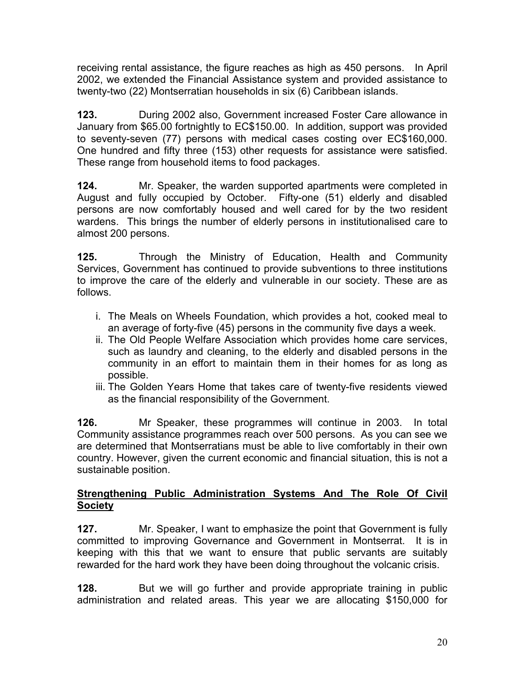receiving rental assistance, the figure reaches as high as 450 persons. In April 2002, we extended the Financial Assistance system and provided assistance to twenty-two (22) Montserratian households in six (6) Caribbean islands.

**123.** During 2002 also, Government increased Foster Care allowance in January from \$65.00 fortnightly to EC\$150.00. In addition, support was provided to seventy-seven (77) persons with medical cases costing over EC\$160,000. One hundred and fifty three (153) other requests for assistance were satisfied. These range from household items to food packages.

**124.** Mr. Speaker, the warden supported apartments were completed in August and fully occupied by October. Fifty-one (51) elderly and disabled persons are now comfortably housed and well cared for by the two resident wardens. This brings the number of elderly persons in institutionalised care to almost 200 persons.

**125.** Through the Ministry of Education, Health and Community Services, Government has continued to provide subventions to three institutions to improve the care of the elderly and vulnerable in our society. These are as follows.

- i. The Meals on Wheels Foundation, which provides a hot, cooked meal to an average of forty-five (45) persons in the community five days a week.
- ii. The Old People Welfare Association which provides home care services, such as laundry and cleaning, to the elderly and disabled persons in the community in an effort to maintain them in their homes for as long as possible.
- iii. The Golden Years Home that takes care of twenty-five residents viewed as the financial responsibility of the Government.

**126.** Mr Speaker, these programmes will continue in 2003. In total Community assistance programmes reach over 500 persons. As you can see we are determined that Montserratians must be able to live comfortably in their own country. However, given the current economic and financial situation, this is not a sustainable position.

#### **Strengthening Public Administration Systems And The Role Of Civil Society**

**127.** Mr. Speaker, I want to emphasize the point that Government is fully committed to improving Governance and Government in Montserrat. It is in keeping with this that we want to ensure that public servants are suitably rewarded for the hard work they have been doing throughout the volcanic crisis.

**128.** But we will go further and provide appropriate training in public administration and related areas. This year we are allocating \$150,000 for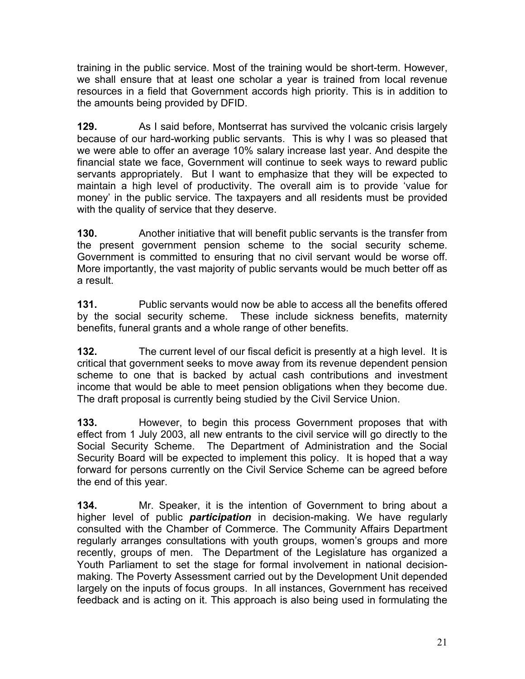training in the public service. Most of the training would be short-term. However, we shall ensure that at least one scholar a year is trained from local revenue resources in a field that Government accords high priority. This is in addition to the amounts being provided by DFID.

**129.** As I said before, Montserrat has survived the volcanic crisis largely because of our hard-working public servants. This is why I was so pleased that we were able to offer an average 10% salary increase last year. And despite the financial state we face, Government will continue to seek ways to reward public servants appropriately. But I want to emphasize that they will be expected to maintain a high level of productivity. The overall aim is to provide 'value for money' in the public service. The taxpayers and all residents must be provided with the quality of service that they deserve.

**130.** Another initiative that will benefit public servants is the transfer from the present government pension scheme to the social security scheme. Government is committed to ensuring that no civil servant would be worse off. More importantly, the vast majority of public servants would be much better off as a result.

**131.** Public servants would now be able to access all the benefits offered by the social security scheme. These include sickness benefits, maternity benefits, funeral grants and a whole range of other benefits.

**132.** The current level of our fiscal deficit is presently at a high level. It is critical that government seeks to move away from its revenue dependent pension scheme to one that is backed by actual cash contributions and investment income that would be able to meet pension obligations when they become due. The draft proposal is currently being studied by the Civil Service Union.

**133.** However, to begin this process Government proposes that with effect from 1 July 2003, all new entrants to the civil service will go directly to the Social Security Scheme. The Department of Administration and the Social Security Board will be expected to implement this policy. It is hoped that a way forward for persons currently on the Civil Service Scheme can be agreed before the end of this year.

**134.** Mr. Speaker, it is the intention of Government to bring about a higher level of public *participation* in decision-making. We have regularly consulted with the Chamber of Commerce. The Community Affairs Department regularly arranges consultations with youth groups, women's groups and more recently, groups of men. The Department of the Legislature has organized a Youth Parliament to set the stage for formal involvement in national decisionmaking. The Poverty Assessment carried out by the Development Unit depended largely on the inputs of focus groups. In all instances, Government has received feedback and is acting on it. This approach is also being used in formulating the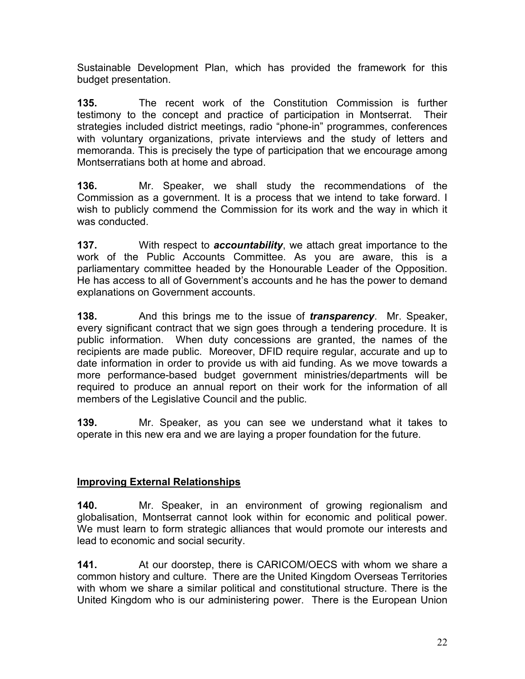Sustainable Development Plan, which has provided the framework for this budget presentation.

**135.** The recent work of the Constitution Commission is further testimony to the concept and practice of participation in Montserrat. Their strategies included district meetings, radio "phone-in" programmes, conferences with voluntary organizations, private interviews and the study of letters and memoranda. This is precisely the type of participation that we encourage among Montserratians both at home and abroad.

**136.** Mr. Speaker, we shall study the recommendations of the Commission as a government. It is a process that we intend to take forward. I wish to publicly commend the Commission for its work and the way in which it was conducted.

**137.** With respect to *accountability*, we attach great importance to the work of the Public Accounts Committee. As you are aware, this is a parliamentary committee headed by the Honourable Leader of the Opposition. He has access to all of Government's accounts and he has the power to demand explanations on Government accounts.

**138.** And this brings me to the issue of *transparency*. Mr. Speaker, every significant contract that we sign goes through a tendering procedure. It is public information. When duty concessions are granted, the names of the recipients are made public. Moreover, DFID require regular, accurate and up to date information in order to provide us with aid funding. As we move towards a more performance-based budget government ministries/departments will be required to produce an annual report on their work for the information of all members of the Legislative Council and the public.

**139.** Mr. Speaker, as you can see we understand what it takes to operate in this new era and we are laying a proper foundation for the future.

### **Improving External Relationships**

**140.** Mr. Speaker, in an environment of growing regionalism and globalisation, Montserrat cannot look within for economic and political power. We must learn to form strategic alliances that would promote our interests and lead to economic and social security.

**141.** At our doorstep, there is CARICOM/OECS with whom we share a common history and culture. There are the United Kingdom Overseas Territories with whom we share a similar political and constitutional structure. There is the United Kingdom who is our administering power. There is the European Union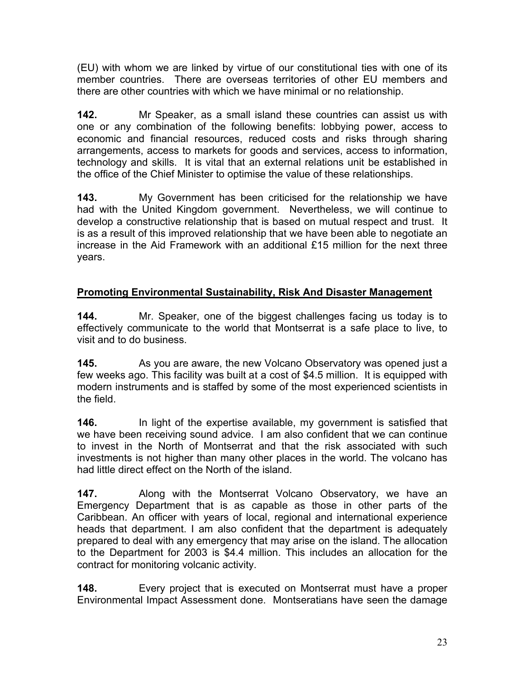(EU) with whom we are linked by virtue of our constitutional ties with one of its member countries. There are overseas territories of other EU members and there are other countries with which we have minimal or no relationship.

**142.** Mr Speaker, as a small island these countries can assist us with one or any combination of the following benefits: lobbying power, access to economic and financial resources, reduced costs and risks through sharing arrangements, access to markets for goods and services, access to information, technology and skills. It is vital that an external relations unit be established in the office of the Chief Minister to optimise the value of these relationships.

**143.** My Government has been criticised for the relationship we have had with the United Kingdom government. Nevertheless, we will continue to develop a constructive relationship that is based on mutual respect and trust. It is as a result of this improved relationship that we have been able to negotiate an increase in the Aid Framework with an additional £15 million for the next three years.

# **Promoting Environmental Sustainability, Risk And Disaster Management**

**144.** Mr. Speaker, one of the biggest challenges facing us today is to effectively communicate to the world that Montserrat is a safe place to live, to visit and to do business.

**145.** As you are aware, the new Volcano Observatory was opened just a few weeks ago. This facility was built at a cost of \$4.5 million. It is equipped with modern instruments and is staffed by some of the most experienced scientists in the field.

**146.** In light of the expertise available, my government is satisfied that we have been receiving sound advice. I am also confident that we can continue to invest in the North of Montserrat and that the risk associated with such investments is not higher than many other places in the world. The volcano has had little direct effect on the North of the island.

**147.** Along with the Montserrat Volcano Observatory, we have an Emergency Department that is as capable as those in other parts of the Caribbean. An officer with years of local, regional and international experience heads that department. I am also confident that the department is adequately prepared to deal with any emergency that may arise on the island. The allocation to the Department for 2003 is \$4.4 million. This includes an allocation for the contract for monitoring volcanic activity.

**148.** Every project that is executed on Montserrat must have a proper Environmental Impact Assessment done. Montseratians have seen the damage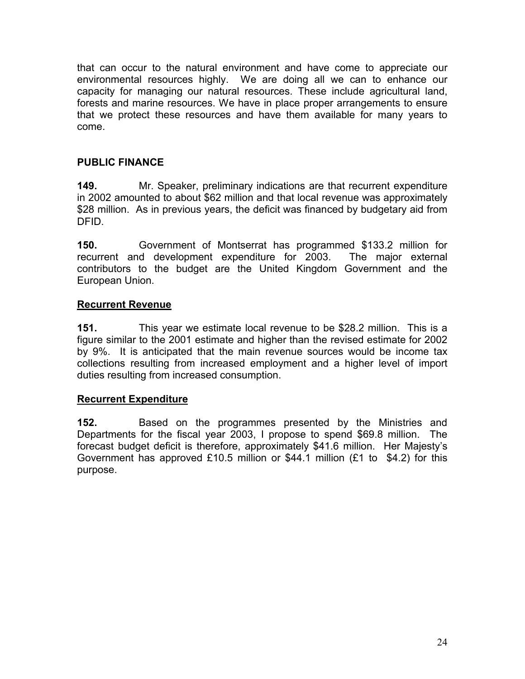that can occur to the natural environment and have come to appreciate our environmental resources highly. We are doing all we can to enhance our capacity for managing our natural resources. These include agricultural land, forests and marine resources. We have in place proper arrangements to ensure that we protect these resources and have them available for many years to come.

#### **PUBLIC FINANCE**

**149.** Mr. Speaker, preliminary indications are that recurrent expenditure in 2002 amounted to about \$62 million and that local revenue was approximately \$28 million. As in previous years, the deficit was financed by budgetary aid from DFID.

**150.** Government of Montserrat has programmed \$133.2 million for recurrent and development expenditure for 2003. The major external contributors to the budget are the United Kingdom Government and the European Union.

#### **Recurrent Revenue**

**151.** This year we estimate local revenue to be \$28.2 million. This is a figure similar to the 2001 estimate and higher than the revised estimate for 2002 by 9%. It is anticipated that the main revenue sources would be income tax collections resulting from increased employment and a higher level of import duties resulting from increased consumption.

#### **Recurrent Expenditure**

**152.** Based on the programmes presented by the Ministries and Departments for the fiscal year 2003, I propose to spend \$69.8 million. The forecast budget deficit is therefore, approximately \$41.6 million. Her Majesty's Government has approved £10.5 million or \$44.1 million (£1 to \$4.2) for this purpose.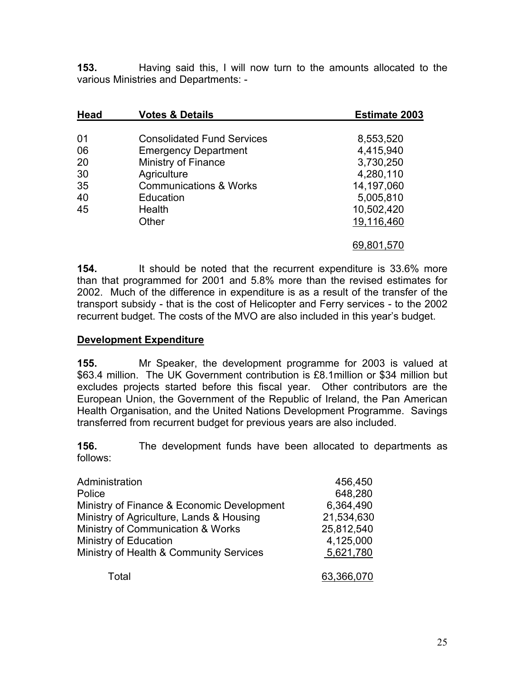**153.** Having said this, I will now turn to the amounts allocated to the various Ministries and Departments: -

| <b>Head</b> | <b>Votes &amp; Details</b>        | <b>Estimate 2003</b> |
|-------------|-----------------------------------|----------------------|
| 01          | <b>Consolidated Fund Services</b> | 8,553,520            |
|             |                                   |                      |
| 06          | <b>Emergency Department</b>       | 4,415,940            |
| 20          | <b>Ministry of Finance</b>        | 3,730,250            |
| 30          | Agriculture                       | 4,280,110            |
| 35          | <b>Communications &amp; Works</b> | 14,197,060           |
| 40          | Education                         | 5,005,810            |
| 45          | Health                            | 10,502,420           |
|             | Other                             | 19,116,460           |
|             |                                   | 69,801,570           |

**154.** It should be noted that the recurrent expenditure is 33.6% more than that programmed for 2001 and 5.8% more than the revised estimates for 2002. Much of the difference in expenditure is as a result of the transfer of the transport subsidy - that is the cost of Helicopter and Ferry services - to the 2002 recurrent budget. The costs of the MVO are also included in this year's budget.

#### **Development Expenditure**

**155.** Mr Speaker, the development programme for 2003 is valued at \$63.4 million. The UK Government contribution is £8.1million or \$34 million but excludes projects started before this fiscal year. Other contributors are the European Union, the Government of the Republic of Ireland, the Pan American Health Organisation, and the United Nations Development Programme. Savings transferred from recurrent budget for previous years are also included.

**156.** The development funds have been allocated to departments as follows:

| Administration                             | 456,450    |
|--------------------------------------------|------------|
| Police                                     | 648,280    |
| Ministry of Finance & Economic Development | 6,364,490  |
| Ministry of Agriculture, Lands & Housing   | 21,534,630 |
| Ministry of Communication & Works          | 25,812,540 |
| Ministry of Education                      | 4,125,000  |
| Ministry of Health & Community Services    | 5,621,780  |
| Total                                      | 63,366,070 |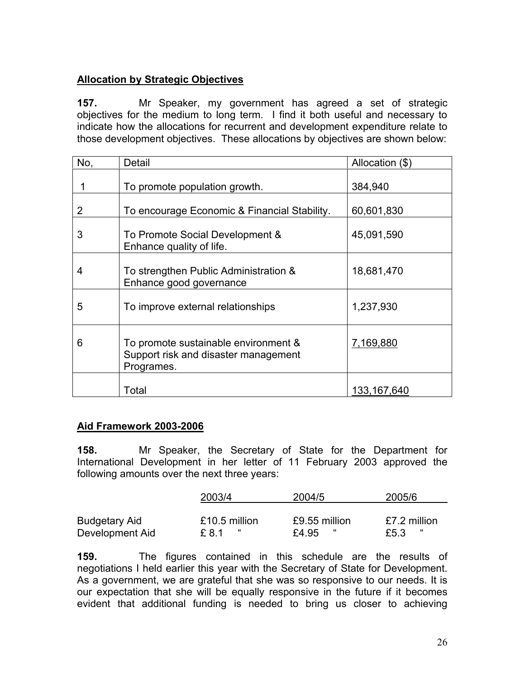#### **Allocation by Strategic Objectives**

**157.** Mr Speaker, my government has agreed a set of strategic objectives for the medium to long term. I find it both useful and necessary to indicate how the allocations for recurrent and development expenditure relate to those development objectives. These allocations by objectives are shown below:

| No, | Detail                                                                                     | Allocation (\$) |
|-----|--------------------------------------------------------------------------------------------|-----------------|
|     | To promote population growth.                                                              | 384,940         |
| 2   | To encourage Economic & Financial Stability.                                               | 60,601,830      |
| 3   | To Promote Social Development &<br>Enhance quality of life.                                | 45,091,590      |
| 4   | To strengthen Public Administration &<br>Enhance good governance                           | 18,681,470      |
| 5   | To improve external relationships                                                          | 1,237,930       |
| 6   | To promote sustainable environment &<br>Support risk and disaster management<br>Programes. | 7,169,880       |
|     | Total                                                                                      | 133, 167, 640   |

#### **Aid Framework 2003-2006**

**158.** Mr Speaker, the Secretary of State for the Department for International Development in her letter of 11 February 2003 approved the following amounts over the next three years:

|                      | 2003/4        | 2004/5        | 2005/6           |
|----------------------|---------------|---------------|------------------|
|                      |               |               |                  |
| <b>Budgetary Aid</b> | £10.5 million | £9.55 million | £7.2 million     |
| Development Aid      | £ 8.1         | "<br>£4.95    | $\alpha$<br>£5.3 |

**159.** The figures contained in this schedule are the results of negotiations I held earlier this year with the Secretary of State for Development. As a government, we are grateful that she was so responsive to our needs. It is our expectation that she will be equally responsive in the future if it becomes evident that additional funding is needed to bring us closer to achieving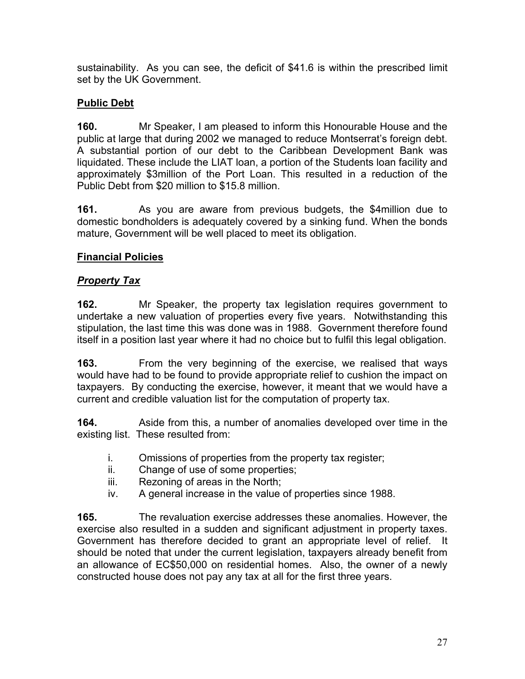sustainability. As you can see, the deficit of \$41.6 is within the prescribed limit set by the UK Government.

## **Public Debt**

**160.** Mr Speaker, I am pleased to inform this Honourable House and the public at large that during 2002 we managed to reduce Montserrat's foreign debt. A substantial portion of our debt to the Caribbean Development Bank was liquidated. These include the LIAT loan, a portion of the Students loan facility and approximately \$3million of the Port Loan. This resulted in a reduction of the Public Debt from \$20 million to \$15.8 million.

**161.** As you are aware from previous budgets, the \$4million due to domestic bondholders is adequately covered by a sinking fund. When the bonds mature, Government will be well placed to meet its obligation.

### **Financial Policies**

#### *Property Tax*

**162.** Mr Speaker, the property tax legislation requires government to undertake a new valuation of properties every five years. Notwithstanding this stipulation, the last time this was done was in 1988. Government therefore found itself in a position last year where it had no choice but to fulfil this legal obligation.

**163.** From the very beginning of the exercise, we realised that ways would have had to be found to provide appropriate relief to cushion the impact on taxpayers. By conducting the exercise, however, it meant that we would have a current and credible valuation list for the computation of property tax.

**164.** Aside from this, a number of anomalies developed over time in the existing list. These resulted from:

- i. Omissions of properties from the property tax register;
- ii. Change of use of some properties;
- iii. Rezoning of areas in the North;
- iv. A general increase in the value of properties since 1988.

**165.** The revaluation exercise addresses these anomalies. However, the exercise also resulted in a sudden and significant adjustment in property taxes. Government has therefore decided to grant an appropriate level of relief. It should be noted that under the current legislation, taxpayers already benefit from an allowance of EC\$50,000 on residential homes. Also, the owner of a newly constructed house does not pay any tax at all for the first three years.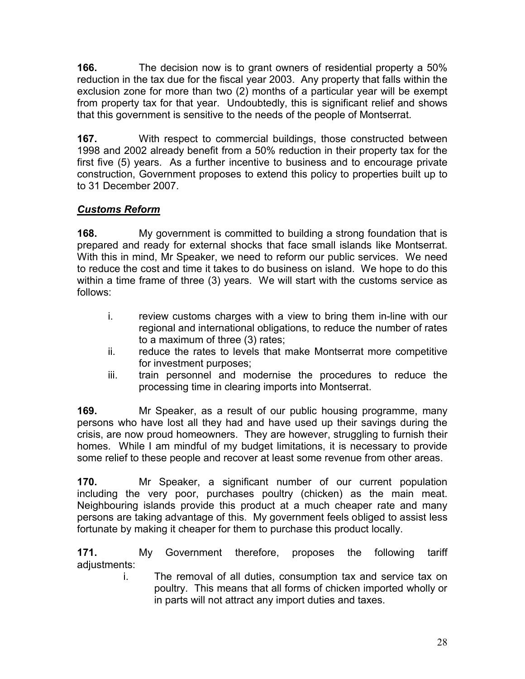**166.** The decision now is to grant owners of residential property a 50% reduction in the tax due for the fiscal year 2003. Any property that falls within the exclusion zone for more than two (2) months of a particular year will be exempt from property tax for that year. Undoubtedly, this is significant relief and shows that this government is sensitive to the needs of the people of Montserrat.

**167.** With respect to commercial buildings, those constructed between 1998 and 2002 already benefit from a 50% reduction in their property tax for the first five (5) years. As a further incentive to business and to encourage private construction, Government proposes to extend this policy to properties built up to to 31 December 2007.

# *Customs Reform*

**168.** My government is committed to building a strong foundation that is prepared and ready for external shocks that face small islands like Montserrat. With this in mind, Mr Speaker, we need to reform our public services. We need to reduce the cost and time it takes to do business on island. We hope to do this within a time frame of three (3) years. We will start with the customs service as follows:

- i. review customs charges with a view to bring them in-line with our regional and international obligations, to reduce the number of rates to a maximum of three (3) rates;
- ii. reduce the rates to levels that make Montserrat more competitive for investment purposes;
- iii. train personnel and modernise the procedures to reduce the processing time in clearing imports into Montserrat.

**169.** Mr Speaker, as a result of our public housing programme, many persons who have lost all they had and have used up their savings during the crisis, are now proud homeowners. They are however, struggling to furnish their homes. While I am mindful of my budget limitations, it is necessary to provide some relief to these people and recover at least some revenue from other areas.

**170.** Mr Speaker, a significant number of our current population including the very poor, purchases poultry (chicken) as the main meat. Neighbouring islands provide this product at a much cheaper rate and many persons are taking advantage of this. My government feels obliged to assist less fortunate by making it cheaper for them to purchase this product locally.

**171.** My Government therefore, proposes the following tariff adjustments:

i. The removal of all duties, consumption tax and service tax on poultry. This means that all forms of chicken imported wholly or in parts will not attract any import duties and taxes.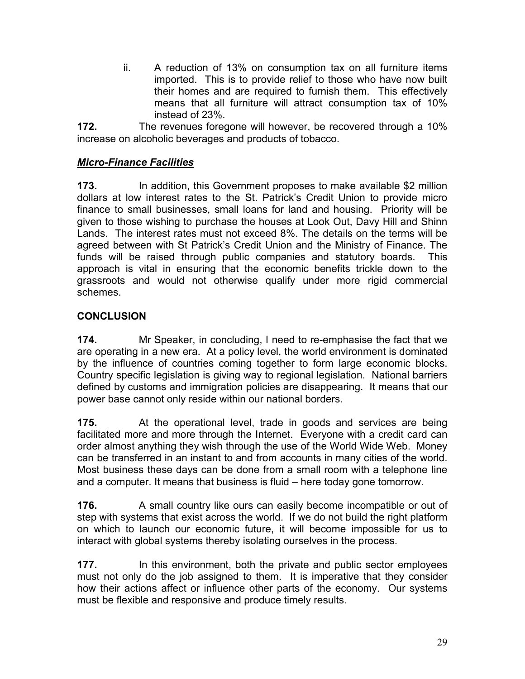ii. A reduction of 13% on consumption tax on all furniture items imported. This is to provide relief to those who have now built their homes and are required to furnish them. This effectively means that all furniture will attract consumption tax of 10% instead of 23%.

**172.** The revenues foregone will however, be recovered through a 10% increase on alcoholic beverages and products of tobacco.

#### *Micro-Finance Facilities*

**173.** In addition, this Government proposes to make available \$2 million dollars at low interest rates to the St. Patrick's Credit Union to provide micro finance to small businesses, small loans for land and housing. Priority will be given to those wishing to purchase the houses at Look Out, Davy Hill and Shinn Lands. The interest rates must not exceed 8%. The details on the terms will be agreed between with St Patrick's Credit Union and the Ministry of Finance. The funds will be raised through public companies and statutory boards. This approach is vital in ensuring that the economic benefits trickle down to the grassroots and would not otherwise qualify under more rigid commercial schemes.

#### <span id="page-29-0"></span>**CONCLUSION**

**174.** Mr Speaker, in concluding, I need to re-emphasise the fact that we are operating in a new era. At a policy level, the world environment is dominated by the influence of countries coming together to form large economic blocks. Country specific legislation is giving way to regional legislation. National barriers defined by customs and immigration policies are disappearing. It means that our power base cannot only reside within our national borders.

**175.** At the operational level, trade in goods and services are being facilitated more and more through the Internet. Everyone with a credit card can order almost anything they wish through the use of the World Wide Web. Money can be transferred in an instant to and from accounts in many cities of the world. Most business these days can be done from a small room with a telephone line and a computer. It means that business is fluid – here today gone tomorrow.

**176.** A small country like ours can easily become incompatible or out of step with systems that exist across the world. If we do not build the right platform on which to launch our economic future, it will become impossible for us to interact with global systems thereby isolating ourselves in the process.

**177.** In this environment, both the private and public sector employees must not only do the job assigned to them. It is imperative that they consider how their actions affect or influence other parts of the economy. Our systems must be flexible and responsive and produce timely results.